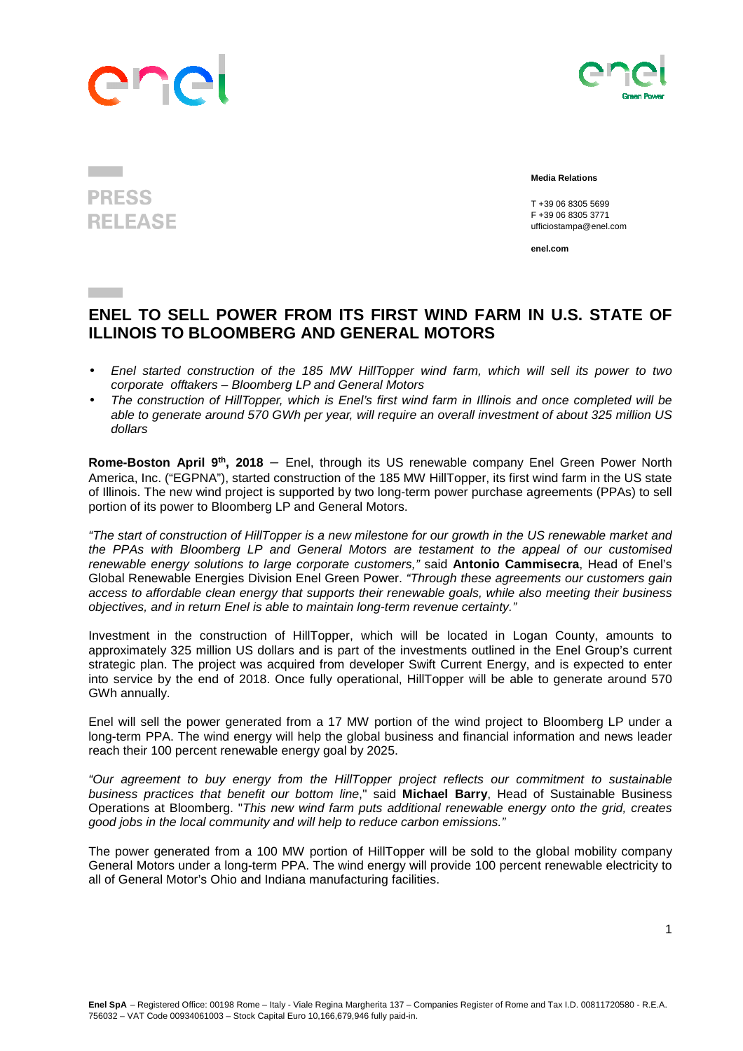



## **PRESS RELEASE**

 **Media Relations** 

T +39 06 8305 5699 F +39 06 8305 3771 ufficiostampa@enel.com

**enel.com**

## **ENEL TO SELL POWER FROM ITS FIRST WIND FARM IN U.S. STATE OF ILLINOIS TO BLOOMBERG AND GENERAL MOTORS**

- Enel started construction of the 185 MW HillTopper wind farm, which will sell its power to two corporate offtakers – Bloomberg LP and General Motors
- The construction of HillTopper, which is Enel's first wind farm in Illinois and once completed will be able to generate around 570 GWh per year, will require an overall investment of about 325 million US dollars

**Rome-Boston April 9th, 2018** – Enel, through its US renewable company Enel Green Power North America, Inc. ("EGPNA"), started construction of the 185 MW HillTopper, its first wind farm in the US state of Illinois. The new wind project is supported by two long-term power purchase agreements (PPAs) to sell portion of its power to Bloomberg LP and General Motors.

"The start of construction of HillTopper is a new milestone for our growth in the US renewable market and the PPAs with Bloomberg LP and General Motors are testament to the appeal of our customised renewable energy solutions to large corporate customers," said **Antonio Cammisecra**, Head of Enel's Global Renewable Energies Division Enel Green Power. "Through these agreements our customers gain access to affordable clean energy that supports their renewable goals, while also meeting their business objectives, and in return Enel is able to maintain long-term revenue certainty."

Investment in the construction of HillTopper, which will be located in Logan County, amounts to approximately 325 million US dollars and is part of the investments outlined in the Enel Group's current strategic plan. The project was acquired from developer Swift Current Energy, and is expected to enter into service by the end of 2018. Once fully operational, HillTopper will be able to generate around 570 GWh annually.

Enel will sell the power generated from a 17 MW portion of the wind project to Bloomberg LP under a long-term PPA. The wind energy will help the global business and financial information and news leader reach their 100 percent renewable energy goal by 2025.

"Our agreement to buy energy from the HillTopper project reflects our commitment to sustainable business practices that benefit our bottom line," said **Michael Barry**, Head of Sustainable Business Operations at Bloomberg. "This new wind farm puts additional renewable energy onto the grid, creates good jobs in the local community and will help to reduce carbon emissions."

The power generated from a 100 MW portion of HillTopper will be sold to the global mobility company General Motors under a long-term PPA. The wind energy will provide 100 percent renewable electricity to all of General Motor's Ohio and Indiana manufacturing facilities.